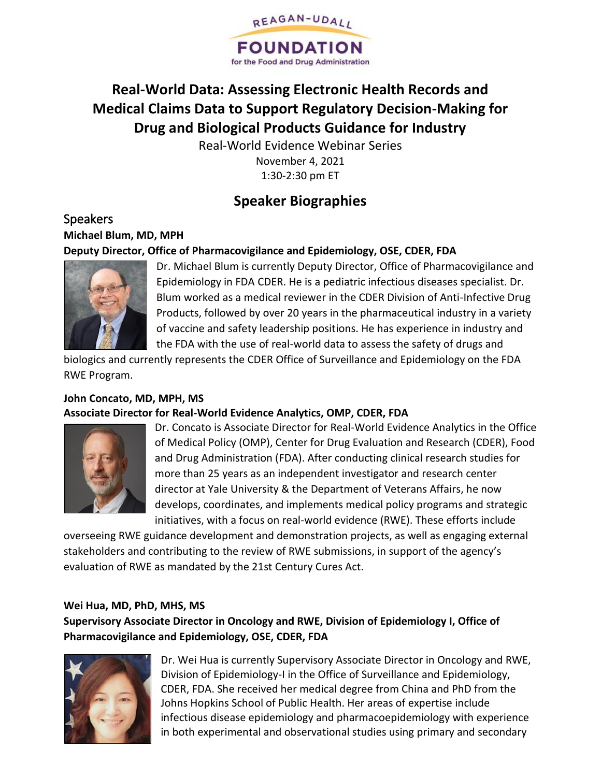

# **Real-World Data: Assessing Electronic Health Records and Medical Claims Data to Support Regulatory Decision-Making for Drug and Biological Products Guidance for Industry**

Real-World Evidence Webinar Series November 4, 2021 1:30-2:30 pm ET

## **Speaker Biographies**

## Speakers **Michael Blum, MD, MPH Deputy Director, Office of Pharmacovigilance and Epidemiology, OSE, CDER, FDA**



Dr. Michael Blum is currently Deputy Director, Office of Pharmacovigilance and Epidemiology in FDA CDER. He is a pediatric infectious diseases specialist. Dr. Blum worked as a medical reviewer in the CDER Division of Anti-Infective Drug Products, followed by over 20 years in the pharmaceutical industry in a variety of vaccine and safety leadership positions. He has experience in industry and the FDA with the use of real-world data to assess the safety of drugs and

biologics and currently represents the CDER Office of Surveillance and Epidemiology on the FDA RWE Program.

#### **John Concato, MD, MPH, MS Associate Director for Real-World Evidence Analytics, OMP, CDER, FDA**



Dr. Concato is Associate Director for Real-World Evidence Analytics in the Office of Medical Policy (OMP), Center for Drug Evaluation and Research (CDER), Food and Drug Administration (FDA). After conducting clinical research studies for more than 25 years as an independent investigator and research center director at Yale University & the Department of Veterans Affairs, he now develops, coordinates, and implements medical policy programs and strategic initiatives, with a focus on real-world evidence (RWE). These efforts include

overseeing RWE guidance development and demonstration projects, as well as engaging external stakeholders and contributing to the review of RWE submissions, in support of the agency's evaluation of RWE as mandated by the 21st Century Cures Act.

#### **Wei Hua, MD, PhD, MHS, MS**

**Supervisory Associate Director in Oncology and RWE, Division of Epidemiology I, Office of Pharmacovigilance and Epidemiology, OSE, CDER, FDA**



Dr. Wei Hua is currently Supervisory Associate Director in Oncology and RWE, Division of Epidemiology-I in the Office of Surveillance and Epidemiology, CDER, FDA. She received her medical degree from China and PhD from the Johns Hopkins School of Public Health. Her areas of expertise include infectious disease epidemiology and pharmacoepidemiology with experience in both experimental and observational studies using primary and secondary